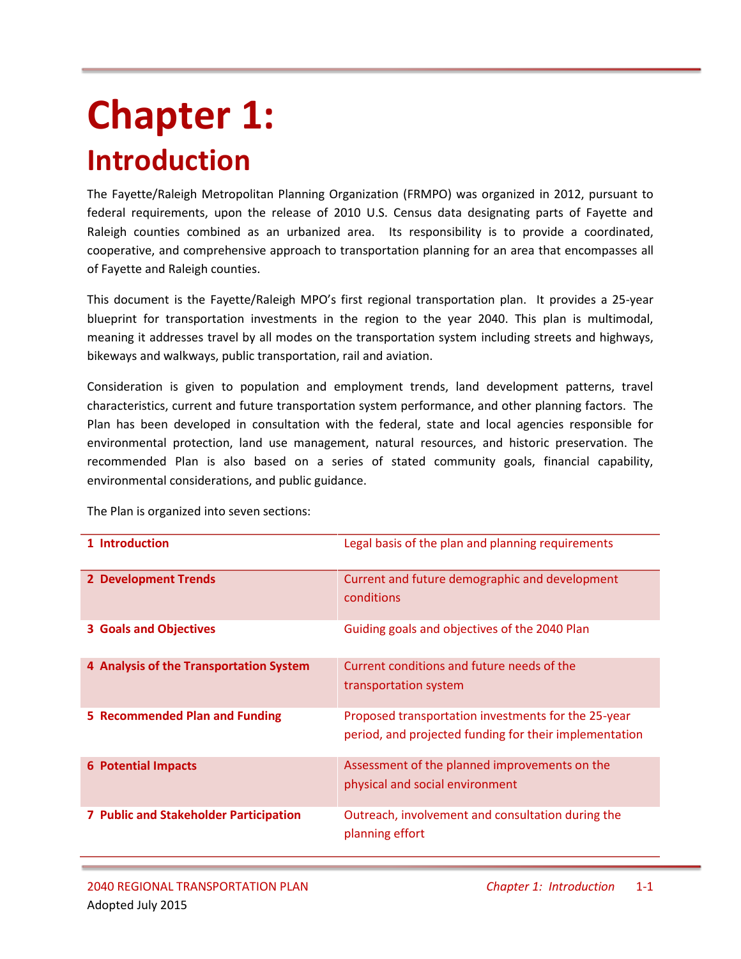# **Chapter 1: Introduction**

The Fayette/Raleigh Metropolitan Planning Organization (FRMPO) was organized in 2012, pursuant to federal requirements, upon the release of 2010 U.S. Census data designating parts of Fayette and Raleigh counties combined as an urbanized area. Its responsibility is to provide a coordinated, cooperative, and comprehensive approach to transportation planning for an area that encompasses all of Fayette and Raleigh counties.

This document is the Fayette/Raleigh MPO's first regional transportation plan. It provides a 25-year blueprint for transportation investments in the region to the year 2040. This plan is multimodal, meaning it addresses travel by all modes on the transportation system including streets and highways, bikeways and walkways, public transportation, rail and aviation.

Consideration is given to population and employment trends, land development patterns, travel characteristics, current and future transportation system performance, and other planning factors. The Plan has been developed in consultation with the federal, state and local agencies responsible for environmental protection, land use management, natural resources, and historic preservation. The recommended Plan is also based on a series of stated community goals, financial capability, environmental considerations, and public guidance.

| 1 Introduction                                | Legal basis of the plan and planning requirements                                                             |
|-----------------------------------------------|---------------------------------------------------------------------------------------------------------------|
| <b>2 Development Trends</b>                   | Current and future demographic and development<br>conditions                                                  |
| <b>3 Goals and Objectives</b>                 | Guiding goals and objectives of the 2040 Plan                                                                 |
| 4 Analysis of the Transportation System       | Current conditions and future needs of the<br>transportation system                                           |
| 5 Recommended Plan and Funding                | Proposed transportation investments for the 25-year<br>period, and projected funding for their implementation |
| <b>6 Potential Impacts</b>                    | Assessment of the planned improvements on the<br>physical and social environment                              |
| <b>7 Public and Stakeholder Participation</b> | Outreach, involvement and consultation during the<br>planning effort                                          |

The Plan is organized into seven sections: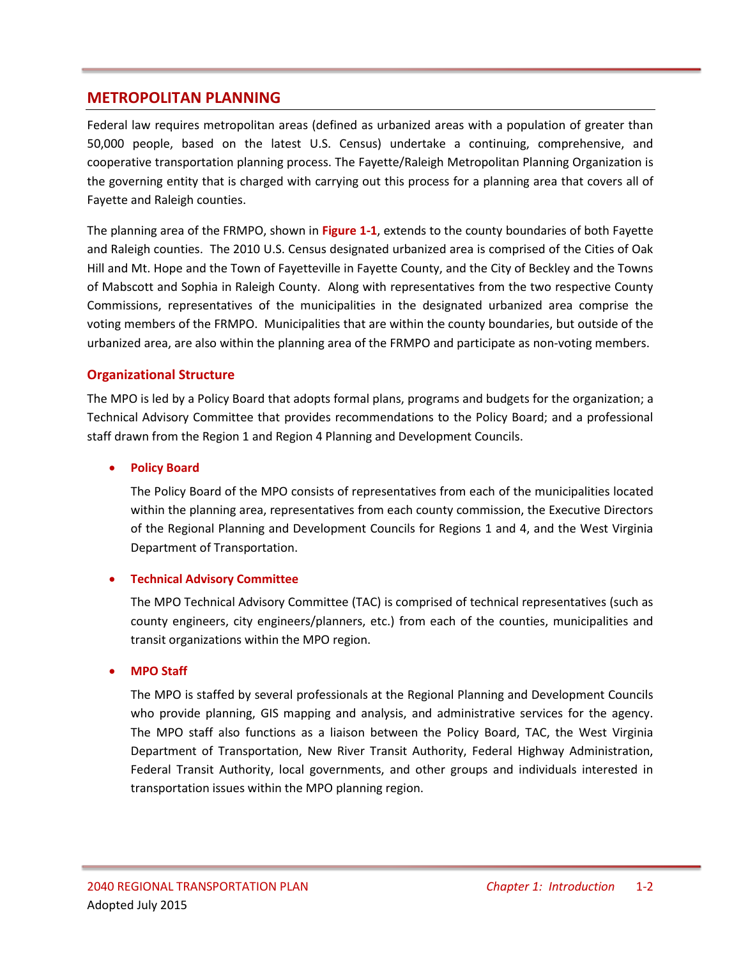## **METROPOLITAN PLANNING**

Federal law requires metropolitan areas (defined as urbanized areas with a population of greater than 50,000 people, based on the latest U.S. Census) undertake a continuing, comprehensive, and cooperative transportation planning process. The Fayette/Raleigh Metropolitan Planning Organization is the governing entity that is charged with carrying out this process for a planning area that covers all of Fayette and Raleigh counties.

The planning area of the FRMPO, shown in **Figure 1-1**, extends to the county boundaries of both Fayette and Raleigh counties. The 2010 U.S. Census designated urbanized area is comprised of the Cities of Oak Hill and Mt. Hope and the Town of Fayetteville in Fayette County, and the City of Beckley and the Towns of Mabscott and Sophia in Raleigh County. Along with representatives from the two respective County Commissions, representatives of the municipalities in the designated urbanized area comprise the voting members of the FRMPO. Municipalities that are within the county boundaries, but outside of the urbanized area, are also within the planning area of the FRMPO and participate as non-voting members.

### **Organizational Structure**

The MPO is led by a Policy Board that adopts formal plans, programs and budgets for the organization; a Technical Advisory Committee that provides recommendations to the Policy Board; and a professional staff drawn from the Region 1 and Region 4 Planning and Development Councils.

#### **Policy Board**

The Policy Board of the MPO consists of representatives from each of the municipalities located within the planning area, representatives from each county commission, the Executive Directors of the Regional Planning and Development Councils for Regions 1 and 4, and the West Virginia Department of Transportation.

#### **Technical Advisory Committee**

The MPO Technical Advisory Committee (TAC) is comprised of technical representatives (such as county engineers, city engineers/planners, etc.) from each of the counties, municipalities and transit organizations within the MPO region.

#### **MPO Staff**

The MPO is staffed by several professionals at the Regional Planning and Development Councils who provide planning, GIS mapping and analysis, and administrative services for the agency. The MPO staff also functions as a liaison between the Policy Board, TAC, the West Virginia Department of Transportation, New River Transit Authority, Federal Highway Administration, Federal Transit Authority, local governments, and other groups and individuals interested in transportation issues within the MPO planning region.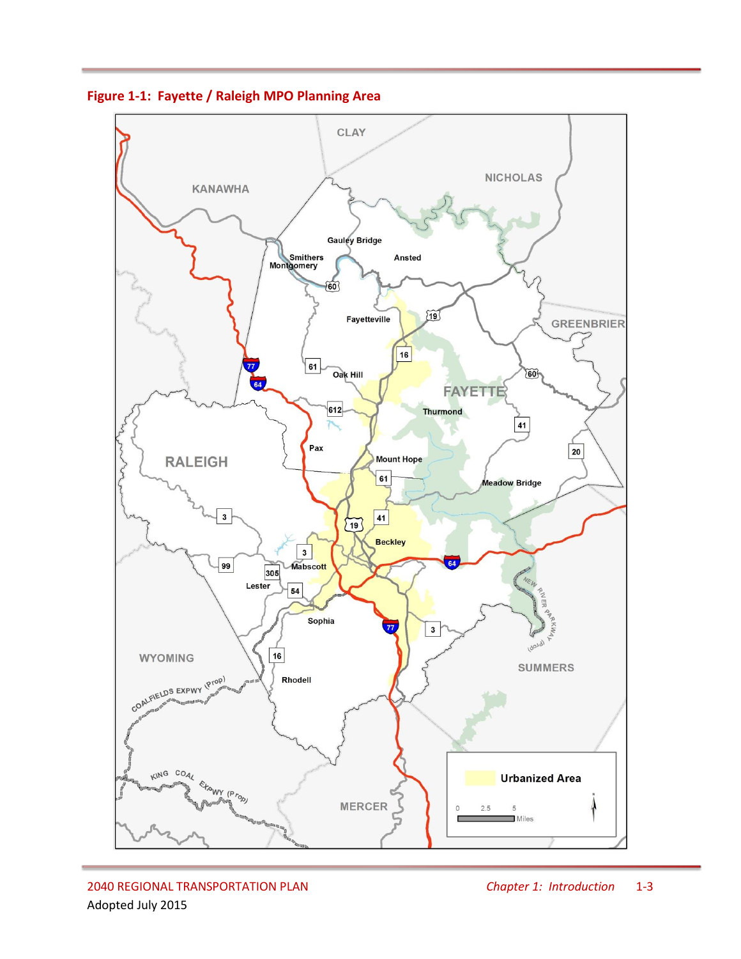

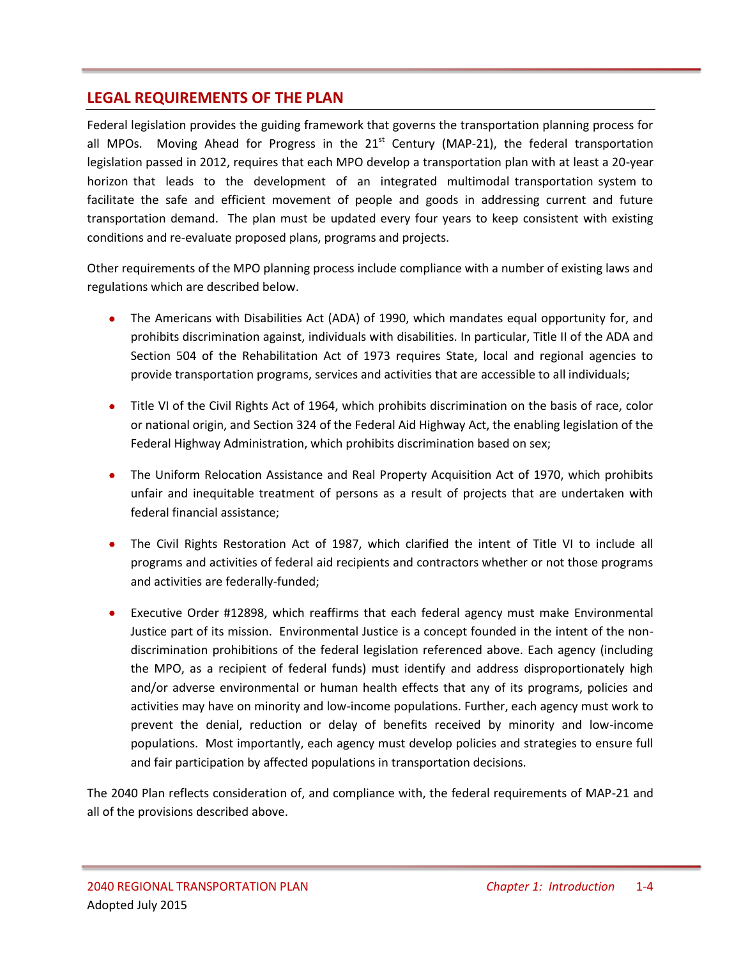## **LEGAL REQUIREMENTS OF THE PLAN**

Federal legislation provides the guiding framework that governs the transportation planning process for all MPOs. Moving Ahead for Progress in the  $21<sup>st</sup>$  Century (MAP-21), the federal transportation legislation passed in 2012, requires that each MPO develop a transportation plan with at least a 20-year horizon that leads to the development of an integrated multimodal transportation system to facilitate the safe and efficient movement of people and goods in addressing current and future transportation demand. The plan must be updated every four years to keep consistent with existing conditions and re-evaluate proposed plans, programs and projects.

Other requirements of the MPO planning process include compliance with a number of existing laws and regulations which are described below.

- The Americans with Disabilities Act (ADA) of 1990, which mandates equal opportunity for, and prohibits discrimination against, individuals with disabilities. In particular, Title II of the ADA and Section 504 of the Rehabilitation Act of 1973 requires State, local and regional agencies to provide transportation programs, services and activities that are accessible to all individuals;
- Title VI of the Civil Rights Act of 1964, which prohibits discrimination on the basis of race, color or national origin, and Section 324 of the Federal Aid Highway Act, the enabling legislation of the Federal Highway Administration, which prohibits discrimination based on sex;
- The Uniform Relocation Assistance and Real Property Acquisition Act of 1970, which prohibits unfair and inequitable treatment of persons as a result of projects that are undertaken with federal financial assistance;
- The Civil Rights Restoration Act of 1987, which clarified the intent of Title VI to include all programs and activities of federal aid recipients and contractors whether or not those programs and activities are federally-funded;
- Executive Order #12898, which reaffirms that each federal agency must make Environmental Justice part of its mission. Environmental Justice is a concept founded in the intent of the nondiscrimination prohibitions of the federal legislation referenced above. Each agency (including the MPO, as a recipient of federal funds) must identify and address disproportionately high and/or adverse environmental or human health effects that any of its programs, policies and activities may have on minority and low-income populations. Further, each agency must work to prevent the denial, reduction or delay of benefits received by minority and low-income populations. Most importantly, each agency must develop policies and strategies to ensure full and fair participation by affected populations in transportation decisions.

The 2040 Plan reflects consideration of, and compliance with, the federal requirements of MAP-21 and all of the provisions described above.